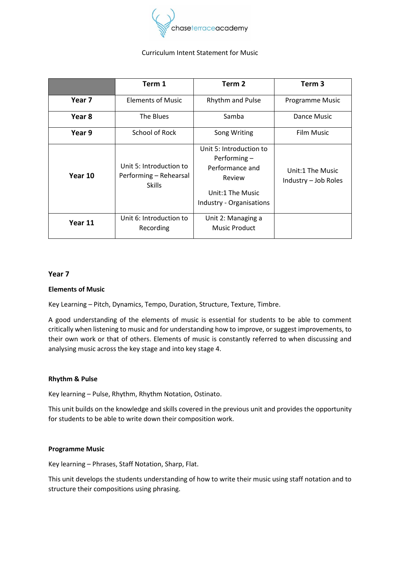

### Curriculum Intent Statement for Music

|         | Term 1                                                             | Term <sub>2</sub>                                                                                                    | Term 3                                   |
|---------|--------------------------------------------------------------------|----------------------------------------------------------------------------------------------------------------------|------------------------------------------|
| Year 7  | <b>Elements of Music</b>                                           | Rhythm and Pulse                                                                                                     | <b>Programme Music</b>                   |
| Year 8  | The Blues                                                          | Samba                                                                                                                | Dance Music                              |
| Year 9  | School of Rock                                                     | Song Writing                                                                                                         | <b>Film Music</b>                        |
| Year 10 | Unit 5: Introduction to<br>Performing - Rehearsal<br><b>Skills</b> | Unit 5: Introduction to<br>Performing -<br>Performance and<br>Review<br>Unit:1 The Music<br>Industry - Organisations | Unit:1 The Music<br>Industry - Job Roles |
| Year 11 | Unit 6: Introduction to<br>Recording                               | Unit 2: Managing a<br><b>Music Product</b>                                                                           |                                          |

### **Year 7**

### **Elements of Music**

Key Learning – Pitch, Dynamics, Tempo, Duration, Structure, Texture, Timbre.

A good understanding of the elements of music is essential for students to be able to comment critically when listening to music and for understanding how to improve, or suggest improvements, to their own work or that of others. Elements of music is constantly referred to when discussing and analysing music across the key stage and into key stage 4.

### **Rhythm & Pulse**

Key learning – Pulse, Rhythm, Rhythm Notation, Ostinato.

This unit builds on the knowledge and skills covered in the previous unit and provides the opportunity for students to be able to write down their composition work.

### **Programme Music**

Key learning – Phrases, Staff Notation, Sharp, Flat.

This unit develops the students understanding of how to write their music using staff notation and to structure their compositions using phrasing.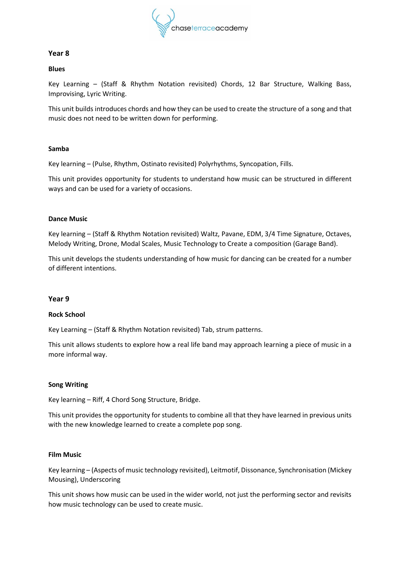

# **Year 8**

### **Blues**

Key Learning – (Staff & Rhythm Notation revisited) Chords, 12 Bar Structure, Walking Bass, Improvising, Lyric Writing.

This unit builds introduces chords and how they can be used to create the structure of a song and that music does not need to be written down for performing.

## **Samba**

Key learning – (Pulse, Rhythm, Ostinato revisited) Polyrhythms, Syncopation, Fills.

This unit provides opportunity for students to understand how music can be structured in different ways and can be used for a variety of occasions.

## **Dance Music**

Key learning – (Staff & Rhythm Notation revisited) Waltz, Pavane, EDM, 3/4 Time Signature, Octaves, Melody Writing, Drone, Modal Scales, Music Technology to Create a composition (Garage Band).

This unit develops the students understanding of how music for dancing can be created for a number of different intentions.

### **Year 9**

### **Rock School**

Key Learning – (Staff & Rhythm Notation revisited) Tab, strum patterns.

This unit allows students to explore how a real life band may approach learning a piece of music in a more informal way.

### **Song Writing**

Key learning – Riff, 4 Chord Song Structure, Bridge.

This unit provides the opportunity for students to combine all that they have learned in previous units with the new knowledge learned to create a complete pop song.

## **Film Music**

Key learning – (Aspects of music technology revisited), Leitmotif, Dissonance, Synchronisation (Mickey Mousing), Underscoring

This unit shows how music can be used in the wider world, not just the performing sector and revisits how music technology can be used to create music.